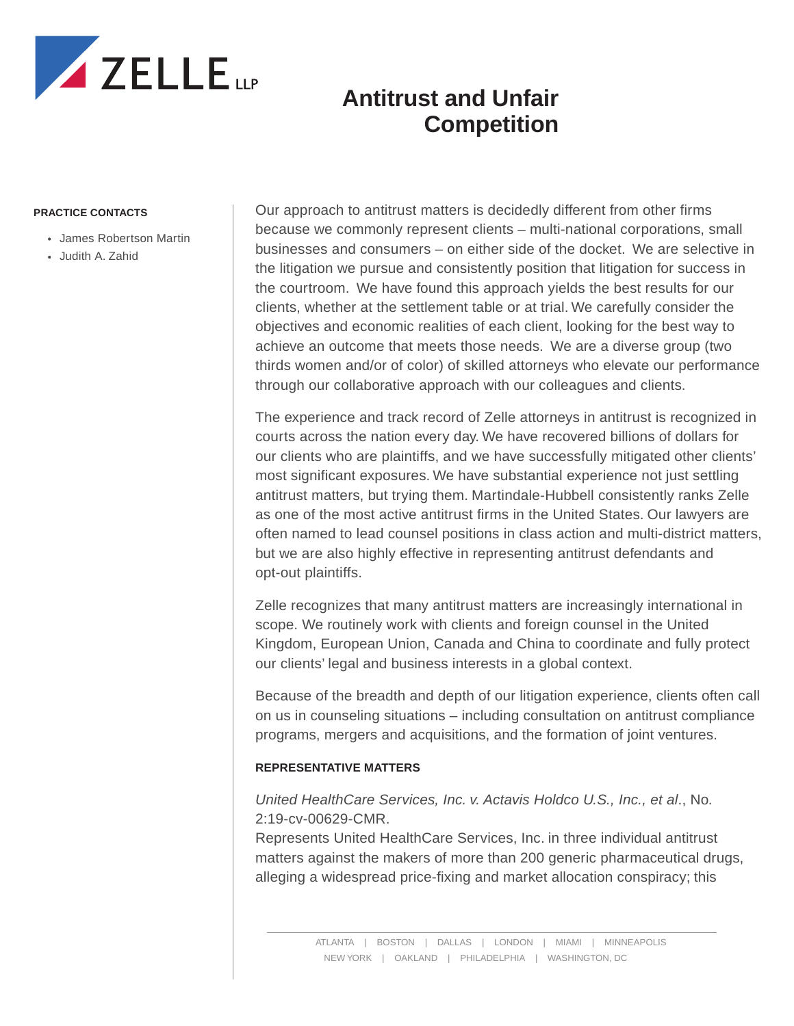

#### **PRACTICE CONTACTS**

- James Robertson Martin
- Judith A. Zahid

Our approach to antitrust matters is decidedly different from other firms because we commonly represent clients – multi-national corporations, small businesses and consumers – on either side of the docket. We are selective in the litigation we pursue and consistently position that litigation for success in the courtroom. We have found this approach yields the best results for our clients, whether at the settlement table or at trial. We carefully consider the objectives and economic realities of each client, looking for the best way to achieve an outcome that meets those needs. We are a diverse group (two thirds women and/or of color) of skilled attorneys who elevate our performance through our collaborative approach with our colleagues and clients.

The experience and track record of Zelle attorneys in antitrust is recognized in courts across the nation every day. We have recovered billions of dollars for our clients who are plaintiffs, and we have successfully mitigated other clients' most significant exposures. We have substantial experience not just settling antitrust matters, but trying them. Martindale-Hubbell consistently ranks Zelle as one of the most active antitrust firms in the United States. Our lawyers are often named to lead counsel positions in class action and multi-district matters, but we are also highly effective in representing antitrust defendants and opt-out plaintiffs.

Zelle recognizes that many antitrust matters are increasingly international in scope. We routinely work with clients and foreign counsel in the United Kingdom, European Union, Canada and China to coordinate and fully protect our clients' legal and business interests in a global context.

Because of the breadth and depth of our litigation experience, clients often call on us in counseling situations – including consultation on antitrust compliance programs, mergers and acquisitions, and the formation of joint ventures.

#### **REPRESENTATIVE MATTERS**

#### *United HealthCare Services, Inc. v. Actavis Holdco U.S., Inc., et al*., No. 2:19-cv-00629-CMR.

Represents United HealthCare Services, Inc. in three individual antitrust matters against the makers of more than 200 generic pharmaceutical drugs, alleging a widespread price-fixing and market allocation conspiracy; this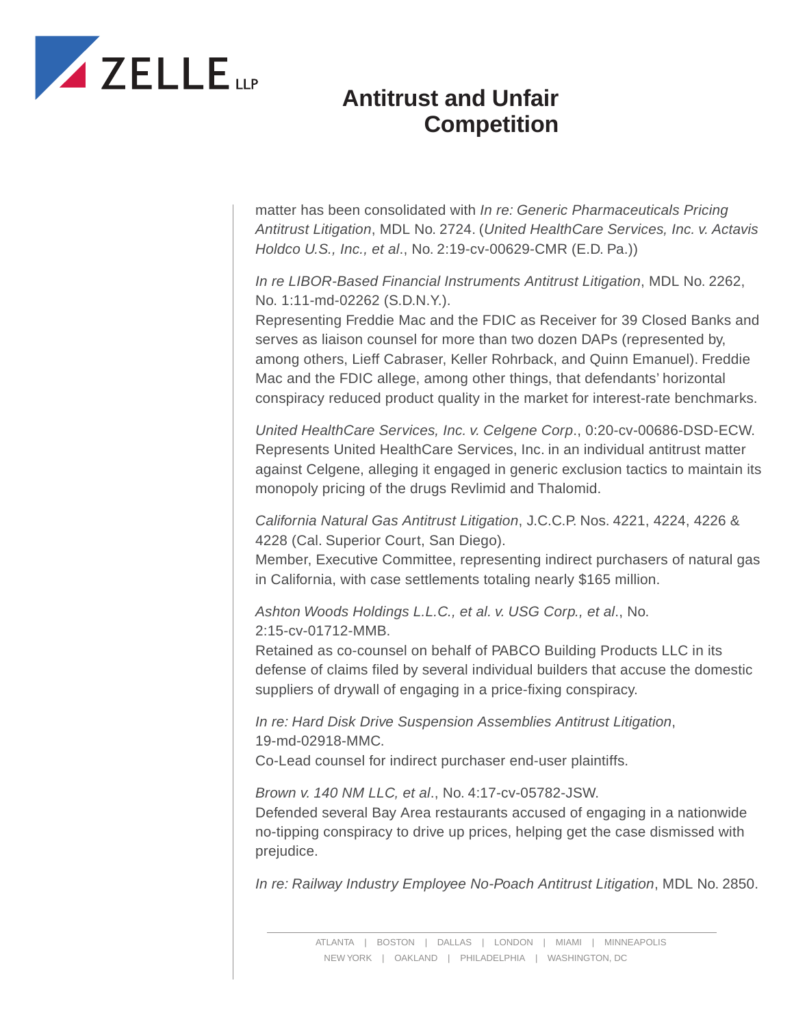

matter has been consolidated with *In re: Generic Pharmaceuticals Pricing Antitrust Litigation*, MDL No. 2724. (*United HealthCare Services, Inc. v. Actavis Holdco U.S., Inc., et al*., No. 2:19-cv-00629-CMR (E.D. Pa.))

*In re LIBOR-Based Financial Instruments Antitrust Litigation*, MDL No. 2262, No. 1:11-md-02262 (S.D.N.Y.).

Representing Freddie Mac and the FDIC as Receiver for 39 Closed Banks and serves as liaison counsel for more than two dozen DAPs (represented by, among others, Lieff Cabraser, Keller Rohrback, and Quinn Emanuel). Freddie Mac and the FDIC allege, among other things, that defendants' horizontal conspiracy reduced product quality in the market for interest-rate benchmarks.

*United HealthCare Services, Inc. v. Celgene Corp*., 0:20-cv-00686-DSD-ECW. Represents United HealthCare Services, Inc. in an individual antitrust matter against Celgene, alleging it engaged in generic exclusion tactics to maintain its monopoly pricing of the drugs Revlimid and Thalomid.

*California Natural Gas Antitrust Litigation*, J.C.C.P. Nos. 4221, 4224, 4226 & 4228 (Cal. Superior Court, San Diego).

Member, Executive Committee, representing indirect purchasers of natural gas in California, with case settlements totaling nearly \$165 million.

*Ashton Woods Holdings L.L.C., et al. v. USG Corp., et al*., No. 2:15-cv-01712-MMB.

Retained as co-counsel on behalf of PABCO Building Products LLC in its defense of claims filed by several individual builders that accuse the domestic suppliers of drywall of engaging in a price-fixing conspiracy.

*In re: Hard Disk Drive Suspension Assemblies Antitrust Litigation*, 19-md-02918-MMC. Co-Lead counsel for indirect purchaser end-user plaintiffs.

*Brown v. 140 NM LLC, et al*., No. 4:17-cv-05782-JSW.

Defended several Bay Area restaurants accused of engaging in a nationwide no-tipping conspiracy to drive up prices, helping get the case dismissed with prejudice.

*In re: Railway Industry Employee No-Poach Antitrust Litigation*, MDL No. 2850.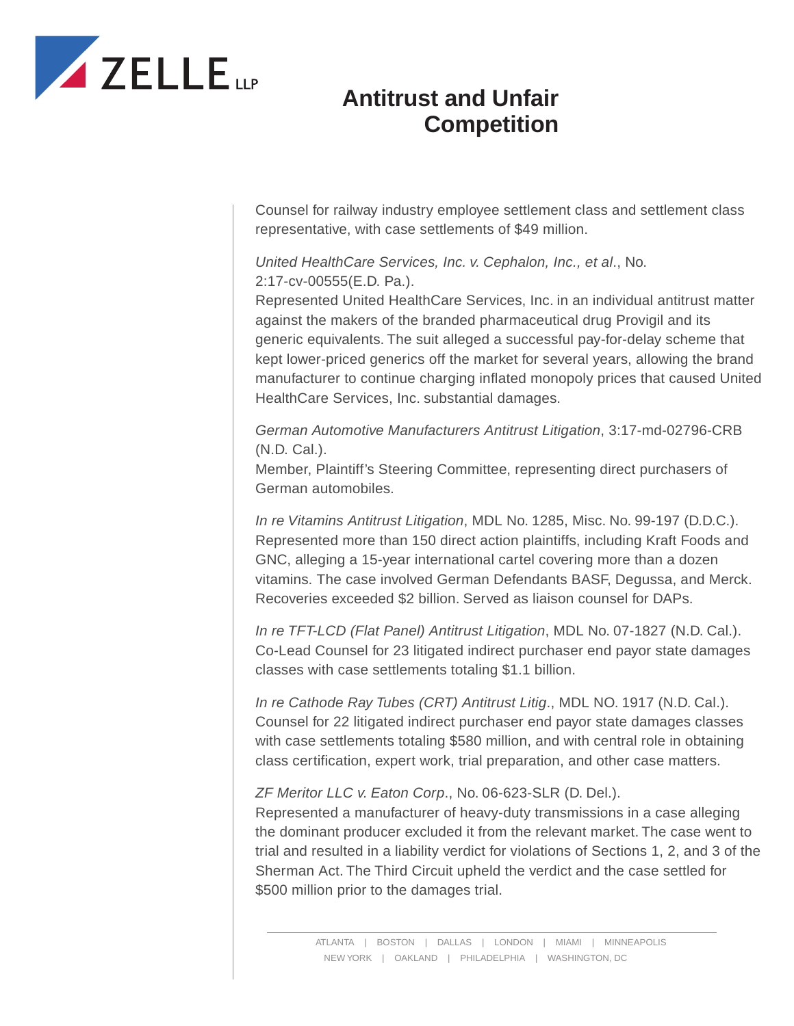

Counsel for railway industry employee settlement class and settlement class representative, with case settlements of \$49 million.

#### *United HealthCare Services, Inc. v. Cephalon, Inc., et al*., No. 2:17-cv-00555(E.D. Pa.).

Represented United HealthCare Services, Inc. in an individual antitrust matter against the makers of the branded pharmaceutical drug Provigil and its generic equivalents. The suit alleged a successful pay-for-delay scheme that kept lower-priced generics off the market for several years, allowing the brand manufacturer to continue charging inflated monopoly prices that caused United HealthCare Services, Inc. substantial damages.

*German Automotive Manufacturers Antitrust Litigation*, 3:17-md-02796-CRB (N.D. Cal.).

Member, Plaintiff's Steering Committee, representing direct purchasers of German automobiles.

*In re Vitamins Antitrust Litigation*, MDL No. 1285, Misc. No. 99-197 (D.D.C.). Represented more than 150 direct action plaintiffs, including Kraft Foods and GNC, alleging a 15-year international cartel covering more than a dozen vitamins. The case involved German Defendants BASF, Degussa, and Merck. Recoveries exceeded \$2 billion. Served as liaison counsel for DAPs.

*In re TFT-LCD (Flat Panel) Antitrust Litigation*, MDL No. 07-1827 (N.D. Cal.). Co-Lead Counsel for 23 litigated indirect purchaser end payor state damages classes with case settlements totaling \$1.1 billion.

*In re Cathode Ray Tubes (CRT) Antitrust Litig*., MDL NO. 1917 (N.D. Cal.). Counsel for 22 litigated indirect purchaser end payor state damages classes with case settlements totaling \$580 million, and with central role in obtaining class certification, expert work, trial preparation, and other case matters.

*ZF Meritor LLC v. Eaton Corp*., No. 06-623-SLR (D. Del.).

Represented a manufacturer of heavy-duty transmissions in a case alleging the dominant producer excluded it from the relevant market. The case went to trial and resulted in a liability verdict for violations of Sections 1, 2, and 3 of the Sherman Act. The Third Circuit upheld the verdict and the case settled for \$500 million prior to the damages trial.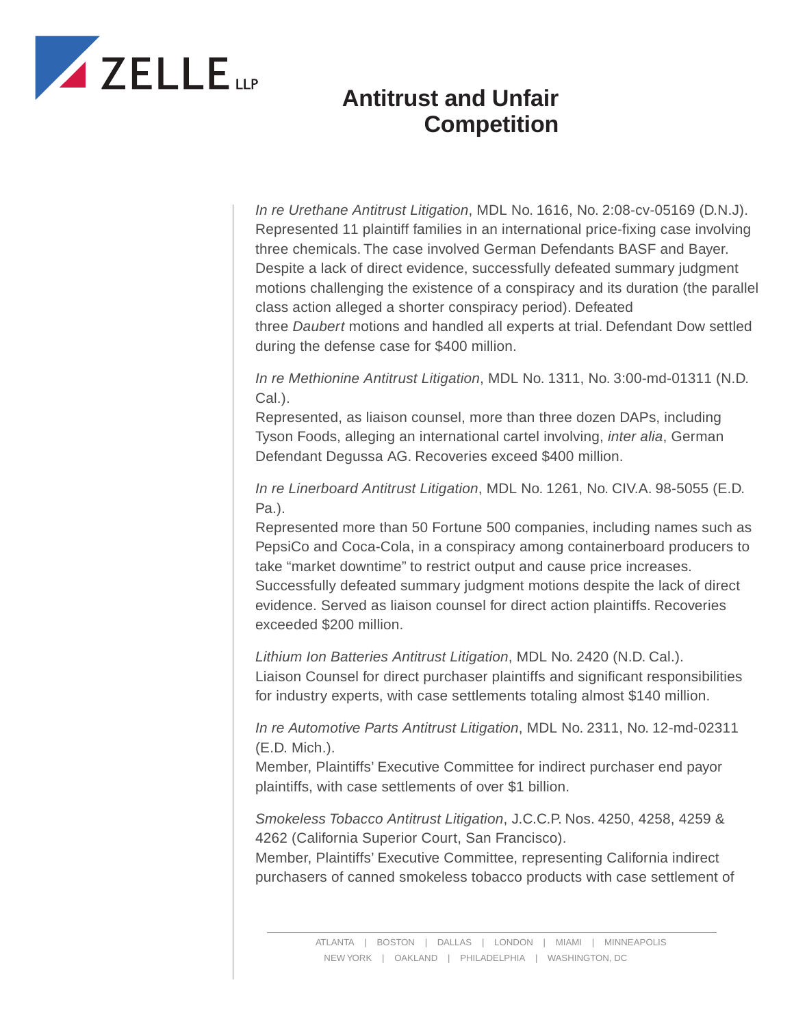

*In re Urethane Antitrust Litigation*, MDL No. 1616, No. 2:08-cv-05169 (D.N.J). Represented 11 plaintiff families in an international price-fixing case involving three chemicals. The case involved German Defendants BASF and Bayer. Despite a lack of direct evidence, successfully defeated summary judgment motions challenging the existence of a conspiracy and its duration (the parallel class action alleged a shorter conspiracy period). Defeated three *Daubert* motions and handled all experts at trial. Defendant Dow settled during the defense case for \$400 million.

*In re Methionine Antitrust Litigation*, MDL No. 1311, No. 3:00-md-01311 (N.D. Cal.).

Represented, as liaison counsel, more than three dozen DAPs, including Tyson Foods, alleging an international cartel involving, *inter alia*, German Defendant Degussa AG. Recoveries exceed \$400 million.

*In re Linerboard Antitrust Litigation*, MDL No. 1261, No. CIV.A. 98-5055 (E.D. Pa.).

Represented more than 50 Fortune 500 companies, including names such as PepsiCo and Coca-Cola, in a conspiracy among containerboard producers to take "market downtime" to restrict output and cause price increases. Successfully defeated summary judgment motions despite the lack of direct evidence. Served as liaison counsel for direct action plaintiffs. Recoveries exceeded \$200 million.

*Lithium Ion Batteries Antitrust Litigation*, MDL No. 2420 (N.D. Cal.). Liaison Counsel for direct purchaser plaintiffs and significant responsibilities for industry experts, with case settlements totaling almost \$140 million.

*In re Automotive Parts Antitrust Litigation*, MDL No. 2311, No. 12-md-02311 (E.D. Mich.).

Member, Plaintiffs' Executive Committee for indirect purchaser end payor plaintiffs, with case settlements of over \$1 billion.

*Smokeless Tobacco Antitrust Litigation*, J.C.C.P. Nos. 4250, 4258, 4259 & 4262 (California Superior Court, San Francisco).

Member, Plaintiffs' Executive Committee, representing California indirect purchasers of canned smokeless tobacco products with case settlement of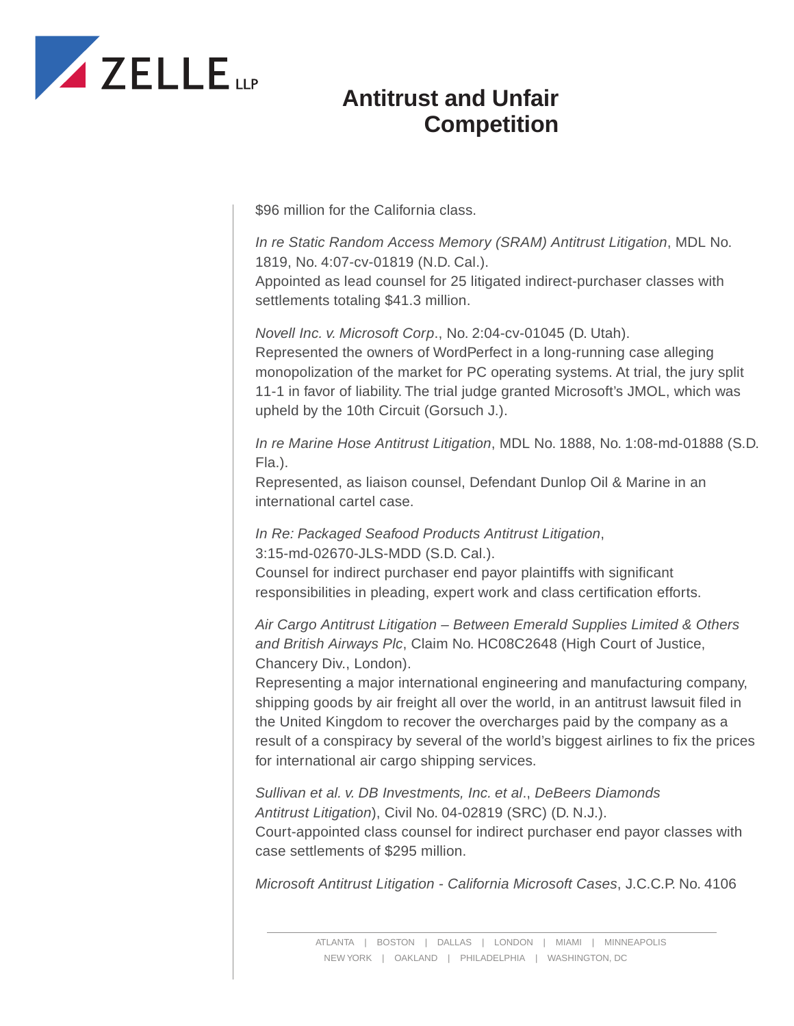

\$96 million for the California class.

*In re Static Random Access Memory (SRAM) Antitrust Litigation*, MDL No. 1819, No. 4:07-cv-01819 (N.D. Cal.).

Appointed as lead counsel for 25 litigated indirect-purchaser classes with settlements totaling \$41.3 million.

*Novell Inc. v. Microsoft Corp*., No. 2:04-cv-01045 (D. Utah).

Represented the owners of WordPerfect in a long-running case alleging monopolization of the market for PC operating systems. At trial, the jury split 11-1 in favor of liability. The trial judge granted Microsoft's JMOL, which was upheld by the 10th Circuit (Gorsuch J.).

*In re Marine Hose Antitrust Litigation*, MDL No. 1888, No. 1:08-md-01888 (S.D. Fla.).

Represented, as liaison counsel, Defendant Dunlop Oil & Marine in an international cartel case.

*In Re: Packaged Seafood Products Antitrust Litigation*, 3:15-md-02670-JLS-MDD (S.D. Cal.).

Counsel for indirect purchaser end payor plaintiffs with significant responsibilities in pleading, expert work and class certification efforts.

*Air Cargo Antitrust Litigation – Between Emerald Supplies Limited & Others and British Airways Plc*, Claim No. HC08C2648 (High Court of Justice, Chancery Div., London).

Representing a major international engineering and manufacturing company, shipping goods by air freight all over the world, in an antitrust lawsuit filed in the United Kingdom to recover the overcharges paid by the company as a result of a conspiracy by several of the world's biggest airlines to fix the prices for international air cargo shipping services.

*Sullivan et al. v. DB Investments, Inc. et al*., *DeBeers Diamonds Antitrust Litigation*), Civil No. 04-02819 (SRC) (D. N.J.). Court-appointed class counsel for indirect purchaser end payor classes with case settlements of \$295 million.

*Microsoft Antitrust Litigation - California Microsoft Cases*, J.C.C.P. No. 4106